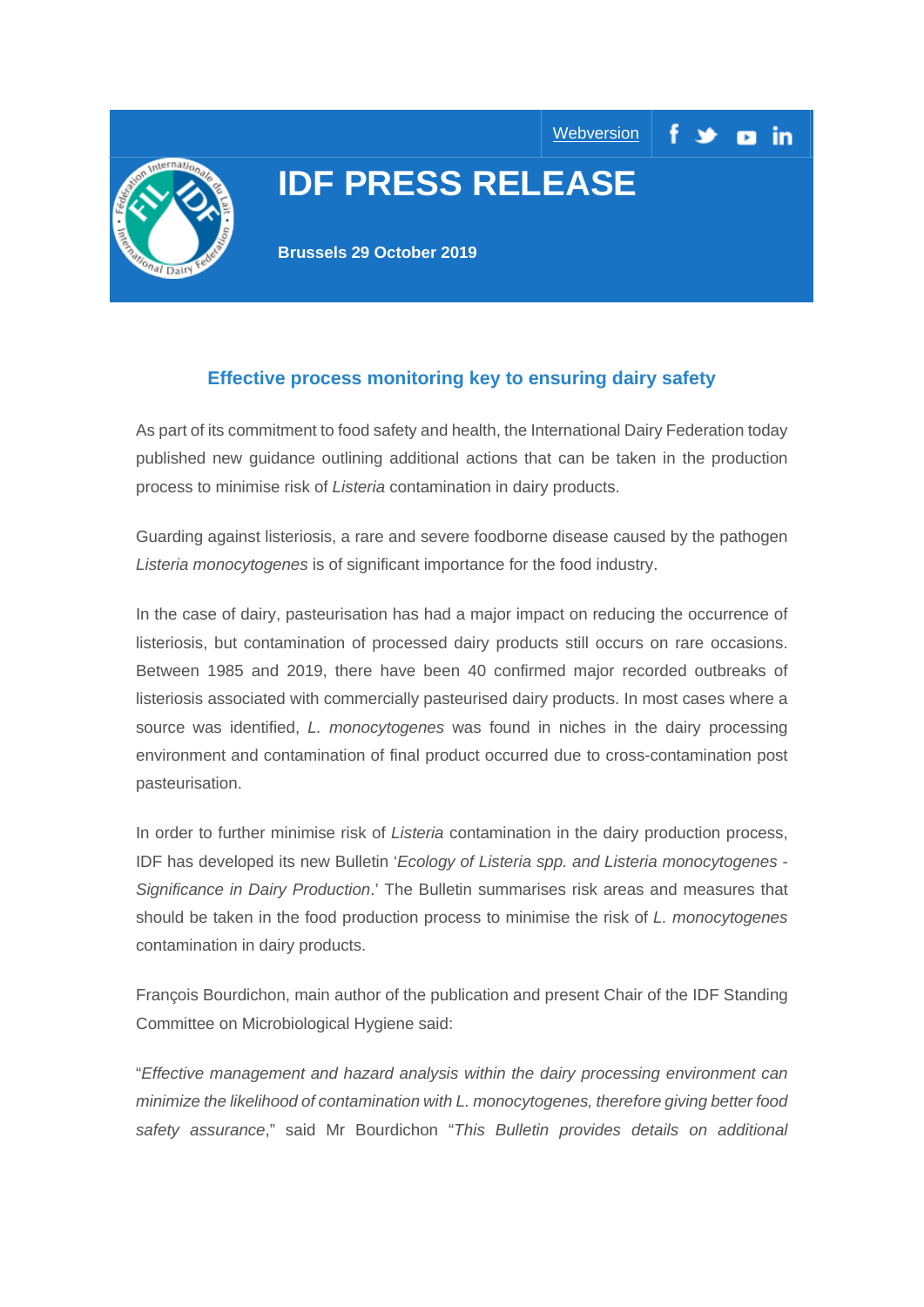

# **IDF PRESS RELEASE**

**[Webversion](https://mailchi.mp/08df78a950e3/idf-celebrates-dairy-excellence-at-the-world-dairy-summit-1326693?e=1836b4a170)** 

**Brussels 29 October 2019**

# **Effective process monitoring key to ensuring dairy safety**

As part of its commitment to food safety and health, the International Dairy Federation today published new guidance outlining additional actions that can be taken in the production process to minimise risk of *Listeria* contamination in dairy products.

Guarding against listeriosis, a rare and severe foodborne disease caused by the pathogen *Listeria monocytogenes* is of significant importance for the food industry.

In the case of dairy, pasteurisation has had a major impact on reducing the occurrence of listeriosis, but contamination of processed dairy products still occurs on rare occasions. Between 1985 and 2019, there have been 40 confirmed major recorded outbreaks of listeriosis associated with commercially pasteurised dairy products. In most cases where a source was identified, *L. monocytogenes* was found in niches in the dairy processing environment and contamination of final product occurred due to cross-contamination post pasteurisation.

In order to further minimise risk of *Listeria* contamination in the dairy production process, IDF has developed its new Bulletin '*Ecology of Listeria spp. and Listeria monocytogenes - Significance in Dairy Production*.' The Bulletin summarises risk areas and measures that should be taken in the food production process to minimise the risk of *L. monocytogenes* contamination in dairy products.

François Bourdichon, main author of the publication and present Chair of the IDF Standing Committee on Microbiological Hygiene said:

"*Effective management and hazard analysis within the dairy processing environment can minimize the likelihood of contamination with L. monocytogenes, therefore giving better food safety assurance*," said Mr Bourdichon "*This Bulletin provides details on additional*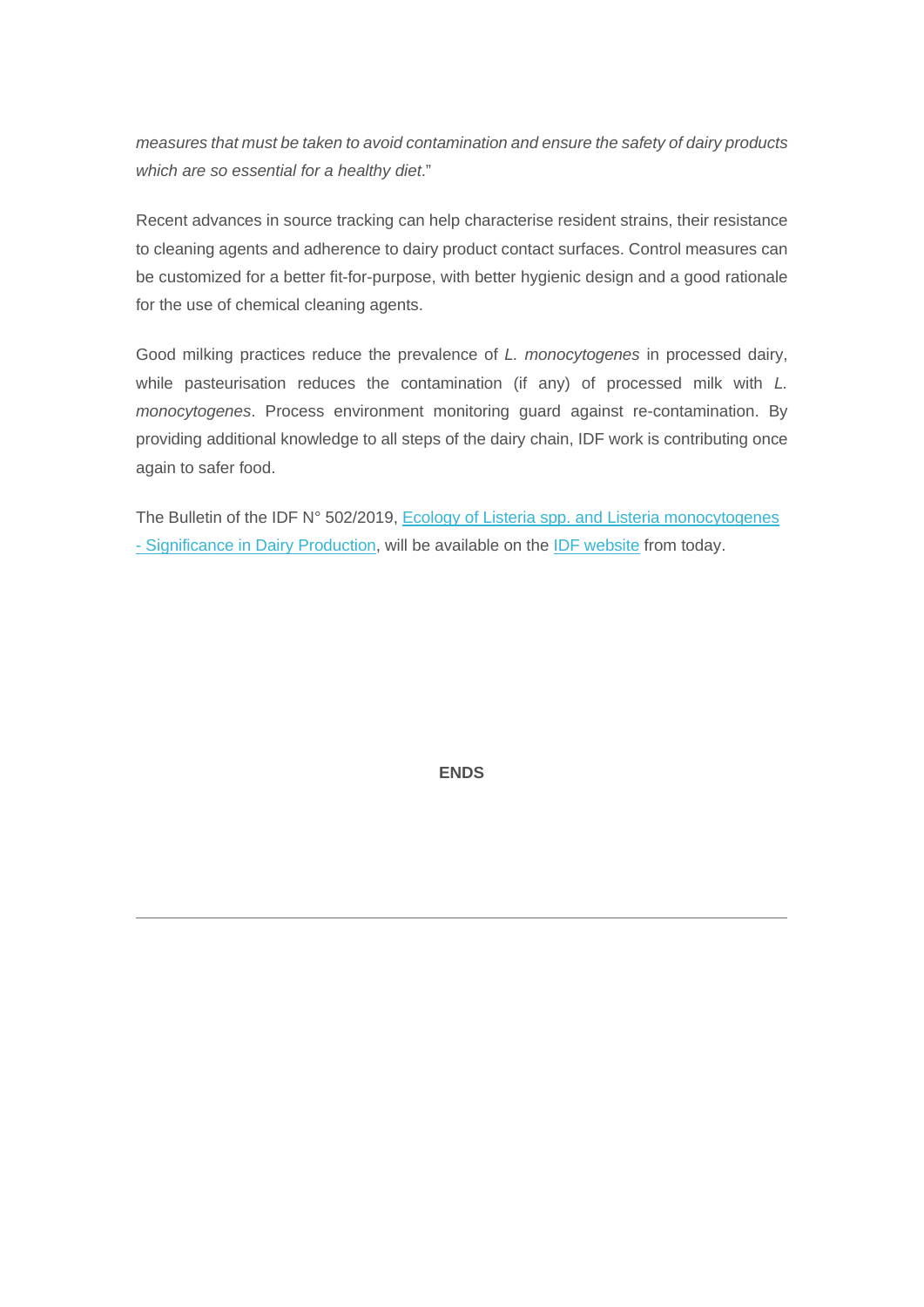*measures that must be taken to avoid contamination and ensure the safety of dairy products which are so essential for a healthy diet*."

Recent advances in source tracking can help characterise resident strains, their resistance to cleaning agents and adherence to dairy product contact surfaces. Control measures can be customized for a better fit-for-purpose, with better hygienic design and a good rationale for the use of chemical cleaning agents.

Good milking practices reduce the prevalence of *L. monocytogenes* in processed dairy, while pasteurisation reduces the contamination (if any) of processed milk with *L. monocytogenes*. Process environment monitoring guard against re-contamination. By providing additional knowledge to all steps of the dairy chain, IDF work is contributing once again to safer food.

The Bulletin of the IDF N° 502/2019, Ecology of Listeria spp. and Listeria monocytogenes - [Significance in Dairy Production,](https://fil-idf.us13.list-manage.com/track/click?u=655379ac300ae7f1505554aa1&id=c0a4ef4262&e=1836b4a170) will be available on the [IDF website](https://fil-idf.us13.list-manage.com/track/click?u=655379ac300ae7f1505554aa1&id=c17bd558a7&e=1836b4a170) from today.

**ENDS**